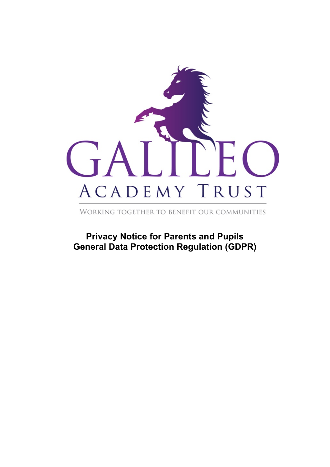

WORKING TOGETHER TO BENEFIT OUR COMMUNITIES

**Privacy Notice for Parents and Pupils General Data Protection Regulation (GDPR)**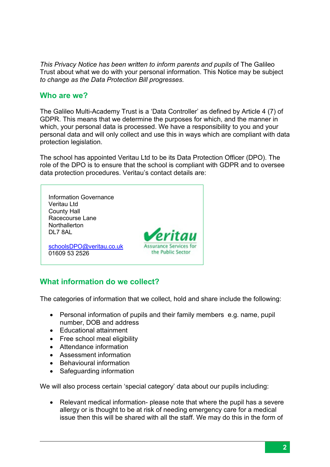*This Privacy Notice has been written to inform parents and pupils* of The Galileo Trust about what we do with your personal information. This Notice may be subject *to change as the Data Protection Bill progresses.*

#### **Who are we?**

The Galileo Multi-Academy Trust is a 'Data Controller' as defined by Article 4 (7) of GDPR. This means that we determine the purposes for which, and the manner in which, your personal data is processed. We have a responsibility to you and your personal data and will only collect and use this in ways which are compliant with data protection legislation.

The school has appointed Veritau Ltd to be its Data Protection Officer (DPO). The role of the DPO is to ensure that the school is compliant with GDPR and to oversee data protection procedures. Veritau's contact details are:



## **What information do we collect?**

The categories of information that we collect, hold and share include the following:

- Personal information of pupils and their family members e.g. name, pupil number, DOB and address
- Educational attainment
- Free school meal eligibility
- Attendance information
- Assessment information
- Behavioural information
- Safeguarding information

We will also process certain 'special category' data about our pupils including:

• Relevant medical information- please note that where the pupil has a severe allergy or is thought to be at risk of needing emergency care for a medical issue then this will be shared with all the staff. We may do this in the form of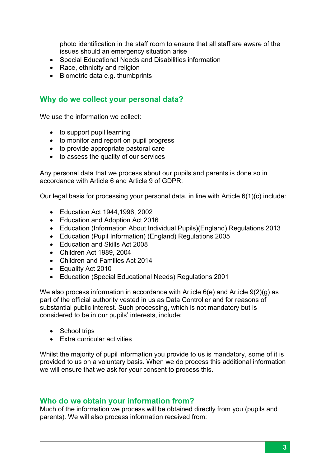photo identification in the staff room to ensure that all staff are aware of the issues should an emergency situation arise

- Special Educational Needs and Disabilities information
- Race, ethnicity and religion
- Biometric data e.g. thumbprints

#### **Why do we collect your personal data?**

We use the information we collect:

- to support pupil learning
- to monitor and report on pupil progress
- to provide appropriate pastoral care
- to assess the quality of our services

Any personal data that we process about our pupils and parents is done so in accordance with Article 6 and Article 9 of GDPR:

Our legal basis for processing your personal data, in line with Article 6(1)(c) include:

- Education Act 1944,1996, 2002
- Education and Adoption Act 2016
- Education (Information About Individual Pupils)(England) Regulations 2013
- Education (Pupil Information) (England) Regulations 2005
- Education and Skills Act 2008
- Children Act 1989, 2004
- Children and Families Act 2014
- Equality Act 2010
- Education (Special Educational Needs) Regulations 2001

We also process information in accordance with Article 6(e) and Article 9(2)(g) as part of the official authority vested in us as Data Controller and for reasons of substantial public interest. Such processing, which is not mandatory but is considered to be in our pupils' interests, include:

- School trips
- Extra curricular activities

Whilst the majority of pupil information you provide to us is mandatory, some of it is provided to us on a voluntary basis. When we do process this additional information we will ensure that we ask for your consent to process this.

#### **Who do we obtain your information from?**

Much of the information we process will be obtained directly from you (pupils and parents). We will also process information received from: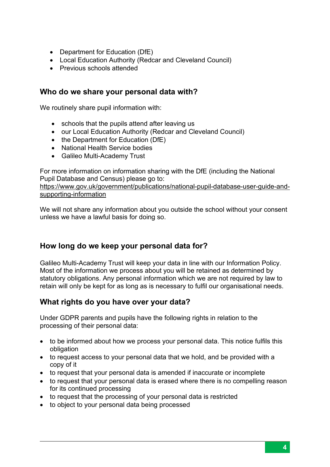- Department for Education (DfE)
- Local Education Authority (Redcar and Cleveland Council)
- Previous schools attended

#### **Who do we share your personal data with?**

We routinely share pupil information with:

- schools that the pupils attend after leaving us
- our Local Education Authority (Redcar and Cleveland Council)
- the Department for Education (DfE)
- National Health Service bodies
- Galileo Multi-Academy Trust

For more information on information sharing with the DfE (including the National Pupil Database and Census) please go to:

[https://www.gov.uk/government/publications/national-pupil-database-user-guide-and](https://www.gov.uk/government/publications/national-pupil-database-user-guide-and-supporting-information)[supporting-information](https://www.gov.uk/government/publications/national-pupil-database-user-guide-and-supporting-information)

We will not share any information about you outside the school without your consent unless we have a lawful basis for doing so.

# **How long do we keep your personal data for?**

Galileo Multi-Academy Trust will keep your data in line with our Information Policy. Most of the information we process about you will be retained as determined by statutory obligations. Any personal information which we are not required by law to retain will only be kept for as long as is necessary to fulfil our organisational needs.

## **What rights do you have over your data?**

Under GDPR parents and pupils have the following rights in relation to the processing of their personal data:

- to be informed about how we process your personal data. This notice fulfils this obligation
- to request access to your personal data that we hold, and be provided with a copy of it
- to request that your personal data is amended if inaccurate or incomplete
- to request that your personal data is erased where there is no compelling reason for its continued processing
- to request that the processing of your personal data is restricted
- to object to your personal data being processed